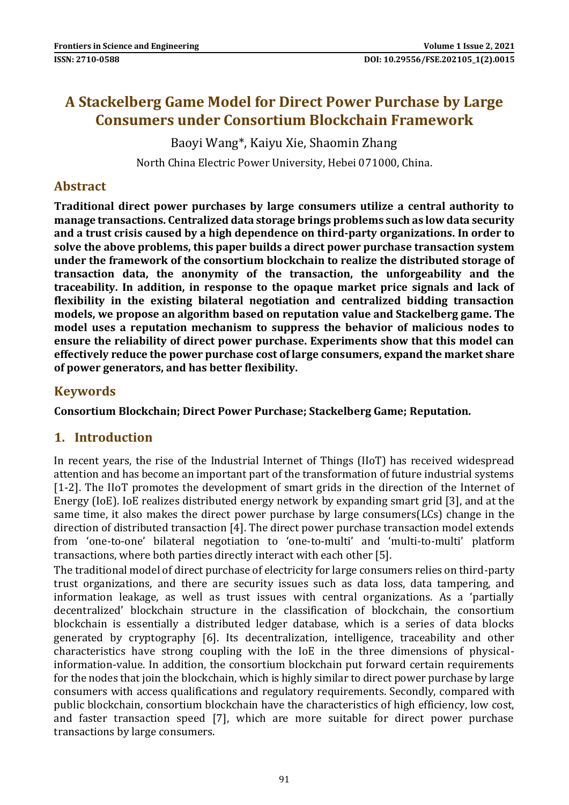# **A Stackelberg Game Model for Direct Power Purchase by Large Consumers under Consortium Blockchain Framework**

Baoyi Wang\*, Kaiyu Xie, Shaomin Zhang

North China Electric Power University, Hebei 071000, China.

### **Abstract**

**Traditional direct power purchases by large consumers utilize a central authority to manage transactions. Centralized data storage brings problems such as low data security and a trust crisis caused by a high dependence on third-party organizations. In order to solve the above problems, this paper builds a direct power purchase transaction system under the framework of the consortium blockchain to realize the distributed storage of transaction data, the anonymity of the transaction, the unforgeability and the traceability. In addition, in response to the opaque market price signals and lack of flexibility in the existing bilateral negotiation and centralized bidding transaction models, we propose an algorithm based on reputation value and Stackelberg game. The model uses a reputation mechanism to suppress the behavior of malicious nodes to ensure the reliability of direct power purchase. Experiments show that this model can effectively reduce the power purchase cost of large consumers, expand the market share of power generators, and has better flexibility.**

# **Keywords**

**Consortium Blockchain; Direct Power Purchase; Stackelberg Game; Reputation.**

# **1. Introduction**

In recent years, the rise of the Industrial Internet of Things (IIoT) has received widespread attention and has become an important part of the transformation of future industrial systems [1-2]. The IIoT promotes the development of smart grids in the direction of the Internet of Energy (IoE). IoE realizes distributed energy network by expanding smart grid [3], and at the same time, it also makes the direct power purchase by large consumers(LCs) change in the direction of distributed transaction [4]. The direct power purchase transaction model extends from 'one-to-one' bilateral negotiation to 'one-to-multi' and 'multi-to-multi' platform transactions, where both parties directly interact with each other [5].

The traditional model of direct purchase of electricity for large consumers relies on third-party trust organizations, and there are security issues such as data loss, data tampering, and information leakage, as well as trust issues with central organizations. As a 'partially decentralized' blockchain structure in the classification of blockchain, the consortium blockchain is essentially a distributed ledger database, which is a series of data blocks generated by cryptography [6]. Its decentralization, intelligence, traceability and other characteristics have strong coupling with the IoE in the three dimensions of physicalinformation-value. In addition, the consortium blockchain put forward certain requirements for the nodes that join the blockchain, which is highly similar to direct power purchase by large consumers with access qualifications and regulatory requirements. Secondly, compared with public blockchain, consortium blockchain have the characteristics of high efficiency, low cost, and faster transaction speed [7], which are more suitable for direct power purchase transactions by large consumers.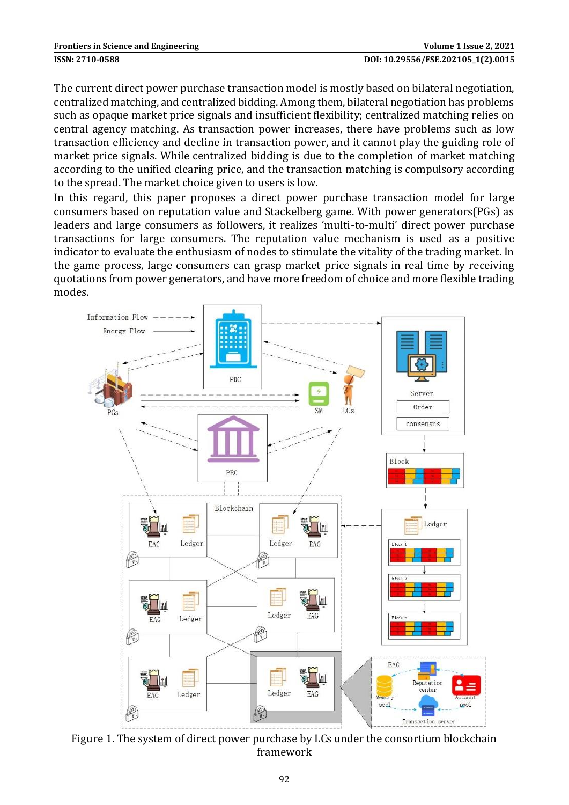The current direct power purchase transaction model is mostly based on bilateral negotiation, centralized matching, and centralized bidding. Among them, bilateral negotiation has problems such as opaque market price signals and insufficient flexibility; centralized matching relies on central agency matching. As transaction power increases, there have problems such as low transaction efficiency and decline in transaction power, and it cannot play the guiding role of market price signals. While centralized bidding is due to the completion of market matching according to the unified clearing price, and the transaction matching is compulsory according to the spread. The market choice given to users is low.

In this regard, this paper proposes a direct power purchase transaction model for large consumers based on reputation value and Stackelberg game. With power generators(PGs) as leaders and large consumers as followers, it realizes 'multi-to-multi' direct power purchase transactions for large consumers. The reputation value mechanism is used as a positive indicator to evaluate the enthusiasm of nodes to stimulate the vitality of the trading market. In the game process, large consumers can grasp market price signals in real time by receiving quotations from power generators, and have more freedom of choice and more flexible trading modes.



Figure 1. The system of direct power purchase by LCs under the consortium blockchain framework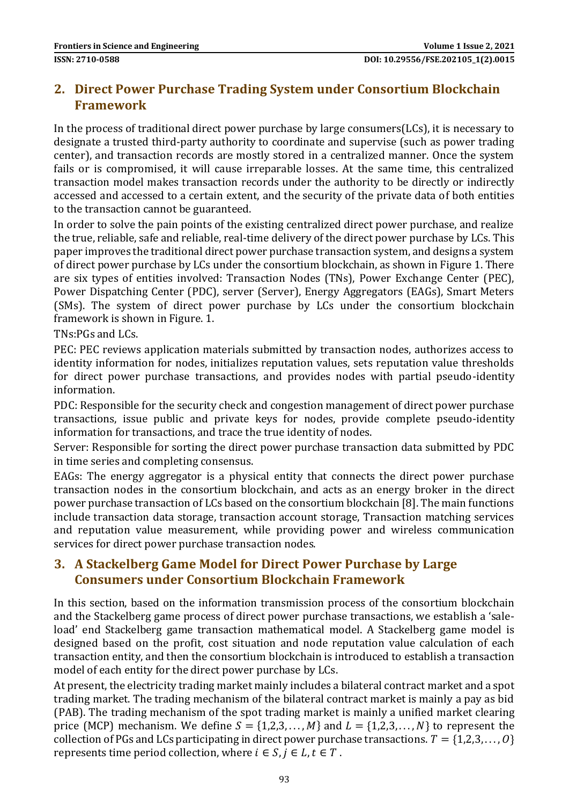# **2. Direct Power Purchase Trading System under Consortium Blockchain Framework**

In the process of traditional direct power purchase by large consumers(LCs), it is necessary to designate a trusted third-party authority to coordinate and supervise (such as power trading center), and transaction records are mostly stored in a centralized manner. Once the system fails or is compromised, it will cause irreparable losses. At the same time, this centralized transaction model makes transaction records under the authority to be directly or indirectly accessed and accessed to a certain extent, and the security of the private data of both entities to the transaction cannot be guaranteed.

In order to solve the pain points of the existing centralized direct power purchase, and realize the true, reliable, safe and reliable, real-time delivery of the direct power purchase by LCs. This paper improves the traditional direct power purchase transaction system, and designs a system of direct power purchase by LCs under the consortium blockchain, as shown in Figure 1. There are six types of entities involved: Transaction Nodes (TNs), Power Exchange Center (PEC), Power Dispatching Center (PDC), server (Server), Energy Aggregators (EAGs), Smart Meters (SMs). The system of direct power purchase by LCs under the consortium blockchain framework is shown in Figure. 1.

TNs:PGs and LCs.

PEC: PEC reviews application materials submitted by transaction nodes, authorizes access to identity information for nodes, initializes reputation values, sets reputation value thresholds for direct power purchase transactions, and provides nodes with partial pseudo-identity information.

PDC: Responsible for the security check and congestion management of direct power purchase transactions, issue public and private keys for nodes, provide complete pseudo-identity information for transactions, and trace the true identity of nodes.

Server: Responsible for sorting the direct power purchase transaction data submitted by PDC in time series and completing consensus.

EAGs: The energy aggregator is a physical entity that connects the direct power purchase transaction nodes in the consortium blockchain, and acts as an energy broker in the direct power purchase transaction of LCs based on the consortium blockchain [8]. The main functions include transaction data storage, transaction account storage, Transaction matching services and reputation value measurement, while providing power and wireless communication services for direct power purchase transaction nodes.

# **3. A Stackelberg Game Model for Direct Power Purchase by Large Consumers under Consortium Blockchain Framework**

In this section, based on the information transmission process of the consortium blockchain and the Stackelberg game process of direct power purchase transactions, we establish a 'saleload' end Stackelberg game transaction mathematical model. A Stackelberg game model is designed based on the profit, cost situation and node reputation value calculation of each transaction entity, and then the consortium blockchain is introduced to establish a transaction model of each entity for the direct power purchase by LCs.

At present, the electricity trading market mainly includes a bilateral contract market and a spot trading market. The trading mechanism of the bilateral contract market is mainly a pay as bid (PAB). The trading mechanism of the spot trading market is mainly a unified market clearing price (MCP) mechanism. We define  $S = \{1,2,3,\ldots,M\}$  and  $L = \{1,2,3,\ldots,N\}$  to represent the collection of PGs and LCs participating in direct power purchase transactions.  $T = \{1,2,3,...,0\}$ represents time period collection, where  $i \in S$ ,  $j \in L$ ,  $t \in T$ .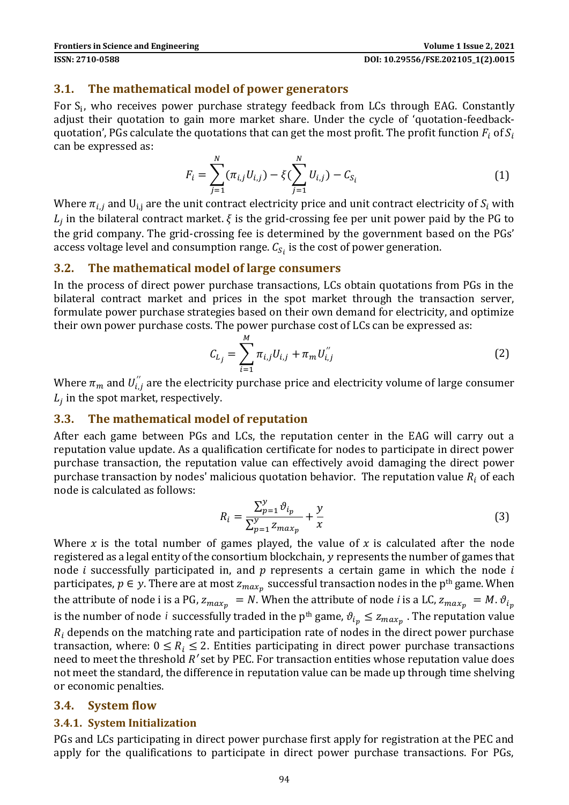### **3.1. The mathematical model of power generators**

For  $S_i$ , who receives power purchase strategy feedback from LCs through EAG. Constantly adjust their quotation to gain more market share. Under the cycle of 'quotation-feedbackquotation', PGs calculate the quotations that can get the most profit. The profit function  $F_i$  of  $S_i$ can be expressed as:

$$
F_i = \sum_{j=1}^{N} (\pi_{i,j} U_{i,j}) - \xi (\sum_{j=1}^{N} U_{i,j}) - C_{S_i}
$$
 (1)

Where  $\pi_{i,j}$  and  $U_{i,j}$  are the unit contract electricity price and unit contract electricity of  $S_i$  with  $L_j$  in the bilateral contract market.  $\xi$  is the grid-crossing fee per unit power paid by the PG to the grid company. The grid-crossing fee is determined by the government based on the PGs' access voltage level and consumption range.  $\mathcal{C}_{\mathcal{S}_l}$  is the cost of power generation.

#### **3.2. The mathematical model of large consumers**

In the process of direct power purchase transactions, LCs obtain quotations from PGs in the bilateral contract market and prices in the spot market through the transaction server, formulate power purchase strategies based on their own demand for electricity, and optimize their own power purchase costs. The power purchase cost of LCs can be expressed as:

$$
C_{L_j} = \sum_{i=1}^{M} \pi_{i,j} U_{i,j} + \pi_m U_{i,j}''
$$
 (2)

Where  $\pi_m$  and  $U^{''}_{i,j}$  are the electricity purchase price and electricity volume of large consumer  $L_j$  in the spot market, respectively.

### **3.3. The mathematical model of reputation**

After each game between PGs and LCs, the reputation center in the EAG will carry out a reputation value update. As a qualification certificate for nodes to participate in direct power purchase transaction, the reputation value can effectively avoid damaging the direct power purchase transaction by nodes' malicious quotation behavior. The reputation value  $R_i$  of each node is calculated as follows:

$$
R_i = \frac{\sum_{p=1}^{y} \vartheta_{i_p}}{\sum_{p=1}^{y} z_{max_p}} + \frac{y}{x}
$$
 (3)

Where x is the total number of games played, the value of x is calculated after the node registered as a legal entity of the consortium blockchain, y represents the number of games that node *i* successfully participated in, and  $p$  represents a certain game in which the node  $i$ participates,  $p \in y$ . There are at most  $z_{max_p}$  successful transaction nodes in the p<sup>th</sup> game. When the attribute of node *i* is a PG,  $z_{max_p} = N$ . When the attribute of node *i* is a LC,  $z_{max_p} = M$ .  $\vartheta_{i_p}$ is the number of node *i* successfully traded in the p<sup>th</sup> game,  $\vartheta_{i_p} \le z_{max_p}$  . The reputation value  $R_i$  depends on the matching rate and participation rate of nodes in the direct power purchase transaction, where:  $0 \le R_i \le 2$ . Entities participating in direct power purchase transactions need to meet the threshold *R'* set by PEC. For transaction entities whose reputation value does not meet the standard, the difference in reputation value can be made up through time shelving or economic penalties.

#### **3.4. System flow**

### **3.4.1. System Initialization**

PGs and LCs participating in direct power purchase first apply for registration at the PEC and apply for the qualifications to participate in direct power purchase transactions. For PGs,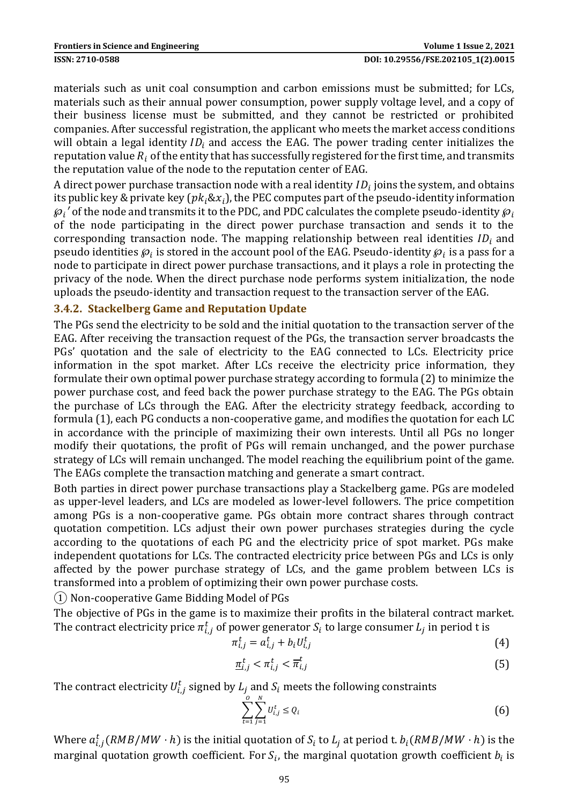materials such as unit coal consumption and carbon emissions must be submitted; for LCs, materials such as their annual power consumption, power supply voltage level, and a copy of their business license must be submitted, and they cannot be restricted or prohibited companies. After successful registration, the applicant who meets the market access conditions will obtain a legal identity  $ID_i$  and access the EAG. The power trading center initializes the reputation value  $R_i$  of the entity that has successfully registered for the first time, and transmits the reputation value of the node to the reputation center of EAG.

A direct power purchase transaction node with a real identity  $ID_i$  joins the system, and obtains its public key & private key ( $pk_i \& x_i$ ), the PEC computes part of the pseudo-identity information  ${\wp}_i{}'$  of the node and transmits it to the PDC, and PDC calculates the complete pseudo-identity  ${\wp}_i$ of the node participating in the direct power purchase transaction and sends it to the corresponding transaction node. The mapping relationship between real identities  $ID_i$  and pseudo identities  $\wp_i$  is stored in the account pool of the EAG. Pseudo-identity  $\wp_i$  is a pass for a node to participate in direct power purchase transactions, and it plays a role in protecting the privacy of the node. When the direct purchase node performs system initialization, the node uploads the pseudo-identity and transaction request to the transaction server of the EAG.

### **3.4.2. Stackelberg Game and Reputation Update**

The PGs send the electricity to be sold and the initial quotation to the transaction server of the EAG. After receiving the transaction request of the PGs, the transaction server broadcasts the PGs' quotation and the sale of electricity to the EAG connected to LCs. Electricity price information in the spot market. After LCs receive the electricity price information, they formulate their own optimal power purchase strategy according to formula (2) to minimize the power purchase cost, and feed back the power purchase strategy to the EAG. The PGs obtain the purchase of LCs through the EAG. After the electricity strategy feedback, according to formula (1), each PG conducts a non-cooperative game, and modifies the quotation for each LC in accordance with the principle of maximizing their own interests. Until all PGs no longer modify their quotations, the profit of PGs will remain unchanged, and the power purchase strategy of LCs will remain unchanged. The model reaching the equilibrium point of the game. The EAGs complete the transaction matching and generate a smart contract.

Both parties in direct power purchase transactions play a Stackelberg game. PGs are modeled as upper-level leaders, and LCs are modeled as lower-level followers. The price competition among PGs is a non-cooperative game. PGs obtain more contract shares through contract quotation competition. LCs adjust their own power purchases strategies during the cycle according to the quotations of each PG and the electricity price of spot market. PGs make independent quotations for LCs. The contracted electricity price between PGs and LCs is only affected by the power purchase strategy of LCs, and the game problem between LCs is transformed into a problem of optimizing their own power purchase costs.

① Non-cooperative Game Bidding Model of PGs

The objective of PGs in the game is to maximize their profits in the bilateral contract market. The contract electricity price  $\pi^t_{i,j}$  of power generator  $S_i$  to large consumer  $L_j$  in period t is

$$
\pi_{i,j}^t = a_{i,j}^t + b_i U_{i,j}^t \tag{4}
$$

$$
\underline{\pi}_{i,j}^t < \pi_{i,j}^t < \overline{\pi}_{i,j}^t \tag{5}
$$

The contract electricity  $U_{i,j}^t$  signed by  $L_j$  and  $\mathcal{S}_i$  meets the following constraints

$$
\sum_{t=1}^{0} \sum_{j=1}^{N} U_{i,j}^{t} \le Q_{i}
$$
 (6)

Where  $a_{i,j}^t(RMB/MW\cdot h)$  is the initial quotation of  $S_i$  to  $L_j$  at period t.  $b_i(RMB/MW\cdot h)$  is the marginal quotation growth coefficient. For  $S_i$ , the marginal quotation growth coefficient  $b_i$  is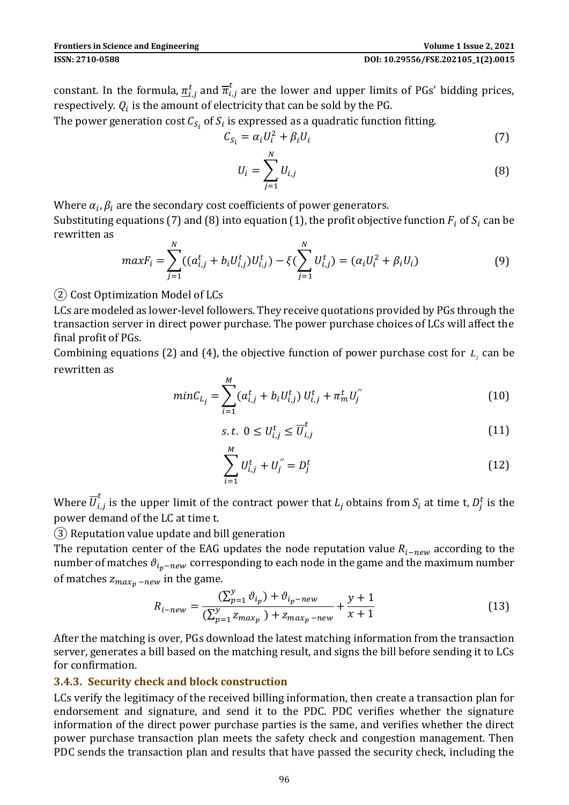constant. In the formula,  $\pi_{i,j}^t$  and  $\overline{\pi}_{i,j}^t$  are the lower and upper limits of PGs' bidding prices, respectively.  $Q_i$  is the amount of electricity that can be sold by the PG.

The power generation cost  $\mathcal{C}_{\mathcal{S}_i}$  of  $\mathcal{S}_i$  is expressed as a quadratic function fitting.

$$
C_{S_i} = \alpha_i U_i^2 + \beta_i U_i \tag{7}
$$

$$
U_i = \sum_{j=1}^{N} U_{i,j}
$$
 (8)

Where  $\alpha_i, \beta_i$  are the secondary cost coefficients of power generators.

Substituting equations (7) and (8) into equation (1), the profit objective function  $F_i$  of  $S_i$  can be rewritten as

$$
maxF_i = \sum_{j=1}^{N} ((a_{i,j}^t + b_i U_{i,j}^t) U_{i,j}^t) - \xi (\sum_{j=1}^{N} U_{i,j}^t) = (\alpha_i U_i^2 + \beta_i U_i)
$$
(9)

② Cost Optimization Model of LCs

LCs are modeled as lower-level followers. They receive quotations provided by PGs through the transaction server in direct power purchase. The power purchase choices of LCs will affect the final profit of PGs.

Combining equations (2) and (4), the objective function of power purchase cost for  $L_j$  can be rewritten as

$$
minC_{L_j} = \sum_{i=1}^{M} (a_{i,j}^t + b_i U_{i,j}^t) U_{i,j}^t + \pi_m^t U_j^{''}
$$
\n(10)

$$
s.t. \ 0 \le U_{i,j}^t \le \overline{U}_{i,j}^t \tag{11}
$$

$$
\sum_{i=1}^{M} U_{i,j}^{t} + U_{j}^{''} = D_{j}^{t}
$$
 (12)

Where  $\overline{U}_{i,j}^t$  is the upper limit of the contract power that  $L_j$  obtains from  $S_i$  at time t,  $D_j^t$  is the power demand of the LC at time t.

③ Reputation value update and bill generation

The reputation center of the EAG updates the node reputation value  $R_{i-new}$  according to the number of matches  $\vartheta_{i_n-new}$  corresponding to each node in the game and the maximum number of matches  $z_{max_n - new}$  in the game.

$$
R_{i-new} = \frac{\left(\sum_{p=1}^{y} \vartheta_{i_p}\right) + \vartheta_{i_p-new}}{\left(\sum_{p=1}^{y} z_{max_p}\right) + z_{max_p-new}} + \frac{y+1}{x+1}
$$
(13)

After the matching is over, PGs download the latest matching information from the transaction server, generates a bill based on the matching result, and signs the bill before sending it to LCs for confirmation.

#### **3.4.3. Security check and block construction**

LCs verify the legitimacy of the received billing information, then create a transaction plan for endorsement and signature, and send it to the PDC. PDC verifies whether the signature information of the direct power purchase parties is the same, and verifies whether the direct power purchase transaction plan meets the safety check and congestion management. Then PDC sends the transaction plan and results that have passed the security check, including the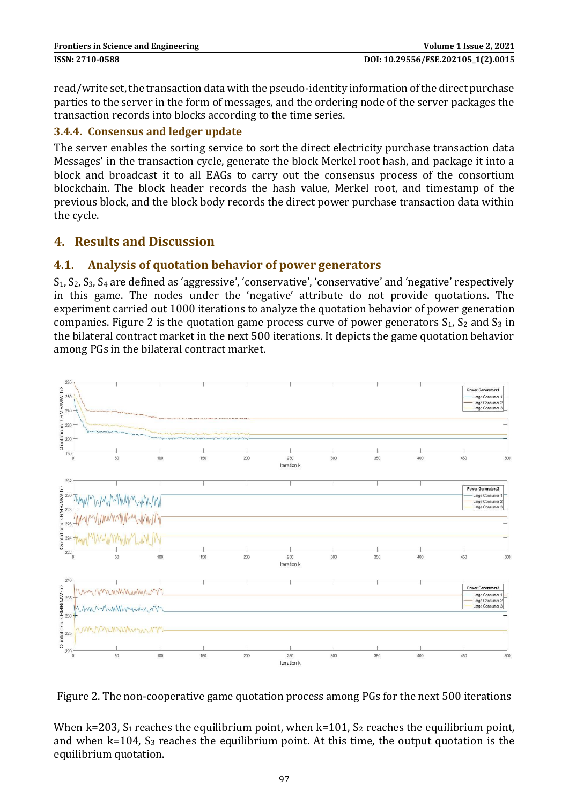read/write set, the transaction data with the pseudo-identity information of the direct purchase parties to the server in the form of messages, and the ordering node of the server packages the transaction records into blocks according to the time series.

### **3.4.4. Consensus and ledger update**

The server enables the sorting service to sort the direct electricity purchase transaction data Messages' in the transaction cycle, generate the block Merkel root hash, and package it into a block and broadcast it to all EAGs to carry out the consensus process of the consortium blockchain. The block header records the hash value, Merkel root, and timestamp of the previous block, and the block body records the direct power purchase transaction data within the cycle.

# **4. Results and Discussion**

### **4.1. Analysis of quotation behavior of power generators**

 $S_1, S_2, S_3, S_4$  are defined as 'aggressive', 'conservative', 'conservative' and 'negative' respectively in this game. The nodes under the 'negative' attribute do not provide quotations. The experiment carried out 1000 iterations to analyze the quotation behavior of power generation companies. Figure 2 is the quotation game process curve of power generators  $S_1$ ,  $S_2$  and  $S_3$  in the bilateral contract market in the next 500 iterations. It depicts the game quotation behavior among PGs in the bilateral contract market.



Figure 2. The non-cooperative game quotation process among PGs for the next 500 iterations

When k=203,  $S_1$  reaches the equilibrium point, when k=101,  $S_2$  reaches the equilibrium point, and when  $k=104$ ,  $S_3$  reaches the equilibrium point. At this time, the output quotation is the equilibrium quotation.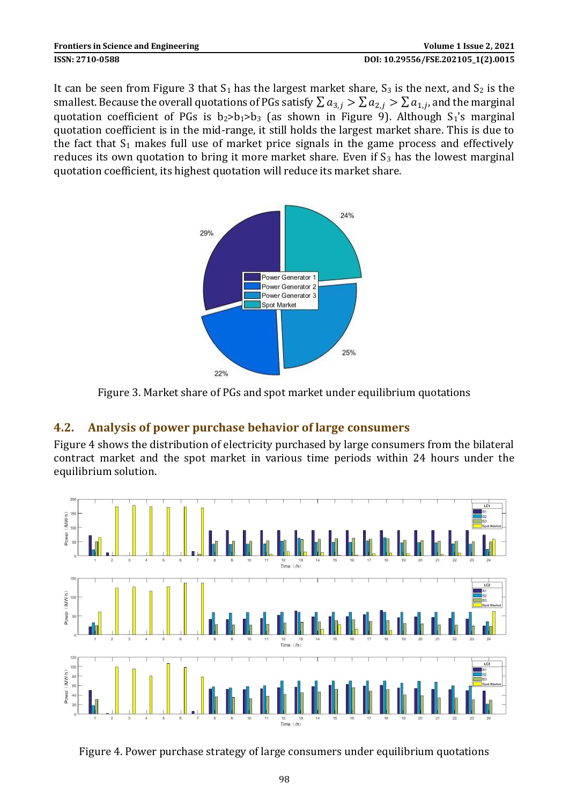It can be seen from Figure 3 that  $S_1$  has the largest market share,  $S_3$  is the next, and  $S_2$  is the smallest. Because the overall quotations of PGs satisfy  $\sum a_{3,j} > \sum a_{2,j} > \sum a_{1,j}$ , and the marginal quotation coefficient of PGs is  $b_2>b_1>b_3$  (as shown in Figure 9). Although  $S_1$ 's marginal quotation coefficient is in the mid-range, it still holds the largest market share. This is due to the fact that  $S_1$  makes full use of market price signals in the game process and effectively reduces its own quotation to bring it more market share. Even if  $S_3$  has the lowest marginal quotation coefficient, its highest quotation will reduce its market share.



Figure 3. Market share of PGs and spot market under equilibrium quotations

# **4.2. Analysis of power purchase behavior of large consumers**

Figure 4 shows the distribution of electricity purchased by large consumers from the bilateral contract market and the spot market in various time periods within 24 hours under the equilibrium solution.



Figure 4. Power purchase strategy of large consumers under equilibrium quotations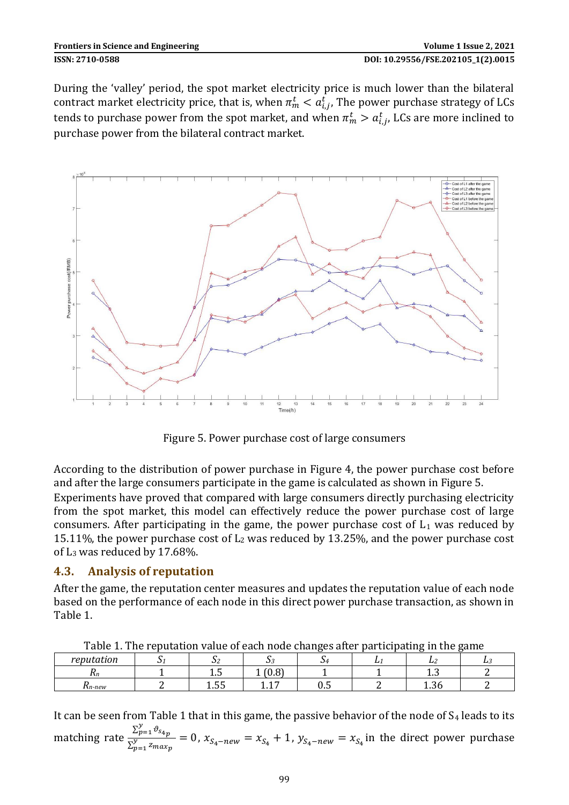| <b>Frontiers in Science and Engineering</b> | Volume 1 Issue 2, 2021             |
|---------------------------------------------|------------------------------------|
| ISSN: 2710-0588                             | DOI: 10.29556/FSE.202105 1(2).0015 |

During the 'valley' period, the spot market electricity price is much lower than the bilateral contract market electricity price, that is, when  $\pi_m^t < a_{i,j}^t$ , The power purchase strategy of LCs tends to purchase power from the spot market, and when  $\pi_m^t > a_{i,j}^t$ , LCs are more inclined to purchase power from the bilateral contract market.



Figure 5. Power purchase cost of large consumers

According to the distribution of power purchase in Figure 4, the power purchase cost before and after the large consumers participate in the game is calculated as shown in Figure 5. Experiments have proved that compared with large consumers directly purchasing electricity from the spot market, this model can effectively reduce the power purchase cost of large consumers. After participating in the game, the power purchase cost of  $L_1$  was reduced by 15.11%, the power purchase cost of  $L_2$  was reduced by 13.25%, and the power purchase cost of L<sup>3</sup> was reduced by 17.68%.

### **4.3. Analysis of reputation**

After the game, the reputation center measures and updates the reputation value of each node based on the performance of each node in this direct power purchase transaction, as shown in Table 1.

| Table 1. The reputation value of each houe changes are participating in the game |  |       |     |     |   |     |     |
|----------------------------------------------------------------------------------|--|-------|-----|-----|---|-----|-----|
| reputation                                                                       |  | ັ     |     |     | ∸ |     | L.1 |
| 1 L n                                                                            |  | ⊥∗∪   | v.v |     |   | ⊥∗∪ |     |
| wn-new                                                                           |  | ں ں … |     | ∪.∪ |   |     |     |

Table 1. The reputation value of each node changes after participating in the game

It can be seen from Table 1 that in this game, the passive behavior of the node of  $S_4$  leads to its matching rate  $\frac{\sum_{p=1}^{y} \vartheta_{s_{4p}}}{\sum_{p=1}^{y}}$  $\frac{Z_{p-1}^{n-1} g_{np}}{Z_{p-1}^y z_{maxp}} = 0$ ,  $x_{S_4-new} = x_{S_4} + 1$ ,  $y_{S_4-new} = x_{S_4}$  in the direct power purchase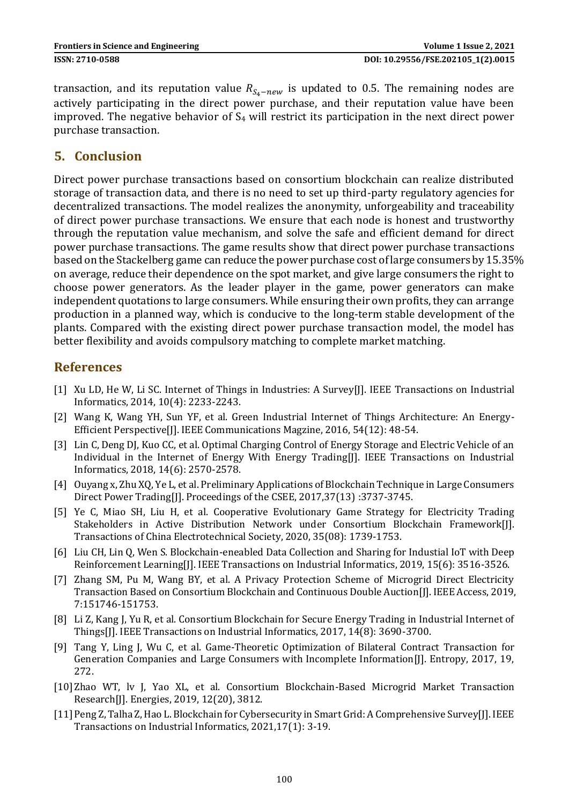transaction, and its reputation value  $R_{S_A - new}$  is updated to 0.5. The remaining nodes are actively participating in the direct power purchase, and their reputation value have been improved. The negative behavior of  $S_4$  will restrict its participation in the next direct power purchase transaction.

### **5. Conclusion**

Direct power purchase transactions based on consortium blockchain can realize distributed storage of transaction data, and there is no need to set up third-party regulatory agencies for decentralized transactions. The model realizes the anonymity, unforgeability and traceability of direct power purchase transactions. We ensure that each node is honest and trustworthy through the reputation value mechanism, and solve the safe and efficient demand for direct power purchase transactions. The game results show that direct power purchase transactions based on the Stackelberg game can reduce the power purchase cost of large consumers by 15.35% on average, reduce their dependence on the spot market, and give large consumers the right to choose power generators. As the leader player in the game, power generators can make independent quotations to large consumers. While ensuring their own profits, they can arrange production in a planned way, which is conducive to the long-term stable development of the plants. Compared with the existing direct power purchase transaction model, the model has better flexibility and avoids compulsory matching to complete market matching.

# **References**

- [1] Xu LD, He W, Li SC. Internet of Things in Industries: A Survey[J]. IEEE Transactions on Industrial Informatics, 2014, 10(4): 2233-2243.
- [2] Wang K, Wang YH, Sun YF, et al. Green Industrial Internet of Things Architecture: An Energy-Efficient Perspective[J]. IEEE Communications Magzine, 2016, 54(12): 48-54.
- [3] Lin C, Deng DJ, Kuo CC, et al. Optimal Charging Control of Energy Storage and Electric Vehicle of an Individual in the Internet of Energy With Energy Trading[J]. IEEE Transactions on Industrial Informatics, 2018, 14(6): 2570-2578.
- [4] Ouyang x, Zhu XQ, Ye L, et al. Preliminary Applications of Blockchain Technique in Large Consumers Direct Power Trading[J]. Proceedings of the CSEE, 2017,37(13) :3737-3745.
- [5] Ye C, Miao SH, Liu H, et al. Cooperative Evolutionary Game Strategy for Electricity Trading Stakeholders in Active Distribution Network under Consortium Blockchain Framework[J]. Transactions of China Electrotechnical Society, 2020, 35(08): 1739-1753.
- [6] Liu CH, Lin Q, Wen S. Blockchain-eneabled Data Collection and Sharing for Industial IoT with Deep Reinforcement Learning[J]. IEEE Transactions on Industrial Informatics, 2019, 15(6): 3516-3526.
- [7] Zhang SM, Pu M, Wang BY, et al. A Privacy Protection Scheme of Microgrid Direct Electricity Transaction Based on Consortium Blockchain and Continuous Double Auction[J]. IEEE Access, 2019, 7:151746-151753.
- [8] Li Z, Kang J, Yu R, et al. Consortium Blockchain for Secure Energy Trading in Industrial Internet of Things[J]. IEEE Transactions on Industrial Informatics, 2017, 14(8): 3690-3700.
- [9] Tang Y, Ling J, Wu C, et al. Game-Theoretic Optimization of Bilateral Contract Transaction for Generation Companies and Large Consumers with Incomplete Information[J]. Entropy, 2017, 19, 272.
- [10]Zhao WT, lv J, Yao XL, et al. Consortium Blockchain-Based Microgrid Market Transaction Research[J]. Energies, 2019, 12(20), 3812.
- [11] Peng Z, Talha Z, Hao L. Blockchain for Cybersecurity in Smart Grid: A Comprehensive Survey [J]. IEEE Transactions on Industrial Informatics, 2021,17(1): 3-19.